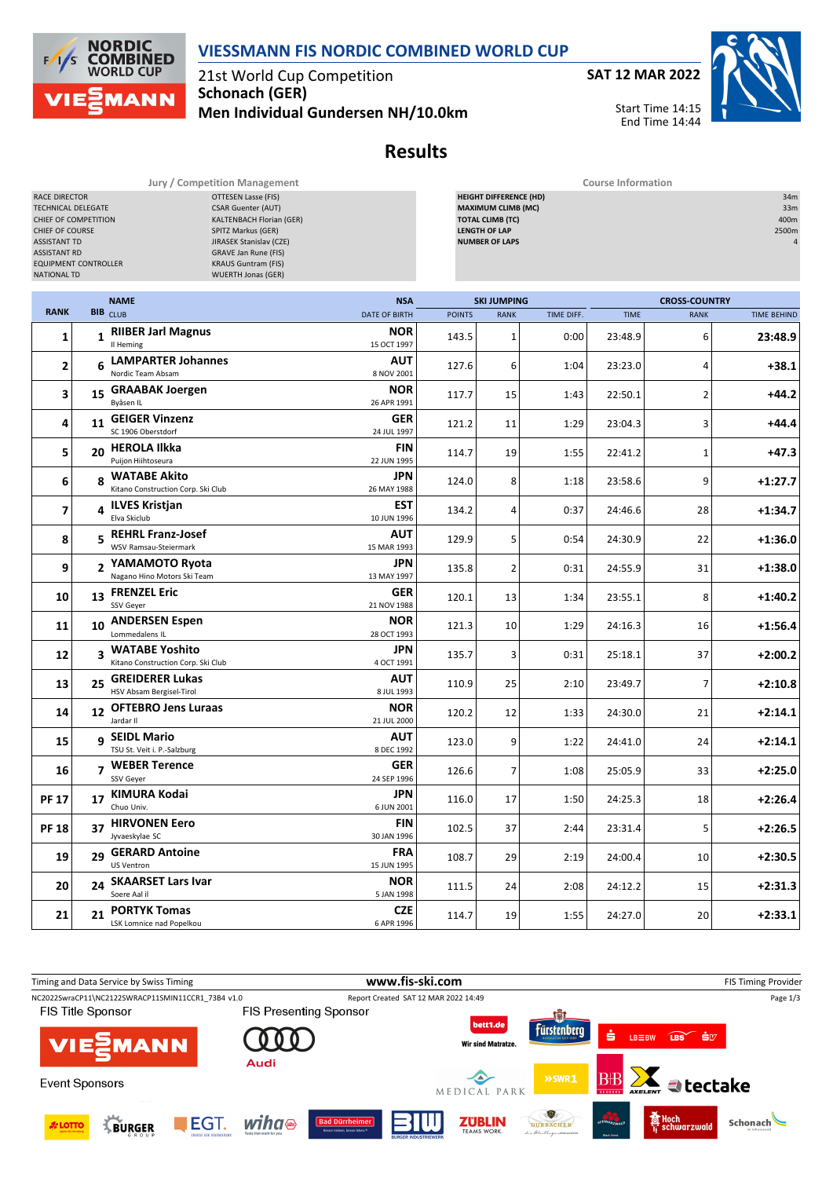

21st World Cup Competition **Schonach (GER)**

**NORDIC<br>COMBINED** 

**MANN** 

**WORLD CUP** 

 $F/1/s$ 

**Men Individual Gundersen NH/10.0km**



End Time 14:44



**Results**

**Jury / Competition Management Course Information**

| RACE DIRECTOR<br><b>OTTESEN Lasse (FIS)</b><br><b>CSAR Guenter (AUT)</b><br>TECHNICAL DELEGATE<br>KALTENBACH Florian (GER)<br>CHIEF OF COMPETITION<br>CHIEF OF COURSE<br>SPITZ Markus (GER)<br>JIRASEK Stanislav (CZE)<br><b>ASSISTANT TD</b><br><b>ASSISTANT RD</b><br><b>GRAVE Jan Rune (FIS)</b><br><b>EQUIPMENT CONTROLLER</b><br><b>KRAUS Guntram (FIS)</b><br><b>NATIONAL TD</b><br><b>WUERTH Jonas (GER)</b> |              |                                                        |                                    | <b>HEIGHT DIFFERENCE (HD)</b><br><b>MAXIMUM CLIMB (MC)</b><br><b>TOTAL CLIMB (TC)</b><br><b>LENGTH OF LAP</b><br><b>NUMBER OF LAPS</b> |                                   |            |             |                                     |                    |
|---------------------------------------------------------------------------------------------------------------------------------------------------------------------------------------------------------------------------------------------------------------------------------------------------------------------------------------------------------------------------------------------------------------------|--------------|--------------------------------------------------------|------------------------------------|----------------------------------------------------------------------------------------------------------------------------------------|-----------------------------------|------------|-------------|-------------------------------------|--------------------|
| <b>RANK</b>                                                                                                                                                                                                                                                                                                                                                                                                         |              | <b>NAME</b><br>BIB CLUB                                | <b>NSA</b><br><b>DATE OF BIRTH</b> | <b>POINTS</b>                                                                                                                          | <b>SKI JUMPING</b><br><b>RANK</b> | TIME DIFF. | <b>TIME</b> | <b>CROSS-COUNTRY</b><br><b>RANK</b> | <b>TIME BEHIND</b> |
| 1                                                                                                                                                                                                                                                                                                                                                                                                                   | $\mathbf{1}$ | <b>RIIBER Jarl Magnus</b><br>Il Heming                 | <b>NOR</b><br>15 OCT 1997          | 143.5                                                                                                                                  | $\mathbf{1}$                      | 0:00       | 23:48.9     | 6                                   | 23:48.9            |
| 2                                                                                                                                                                                                                                                                                                                                                                                                                   |              | 6 LAMPARTER Johannes<br>Nordic Team Absam              | AUT<br>8 NOV 2001                  | 127.6                                                                                                                                  | 6                                 | 1:04       | 23:23.0     | 4                                   | $+38.1$            |
| 3                                                                                                                                                                                                                                                                                                                                                                                                                   | 15           | <b>GRAABAK Joergen</b><br>Byåsen IL                    | <b>NOR</b><br>26 APR 1991          | 117.7                                                                                                                                  | 15                                | 1:43       | 22:50.1     | 2                                   | $+44.2$            |
| 4                                                                                                                                                                                                                                                                                                                                                                                                                   | 11           | <b>GEIGER Vinzenz</b><br>SC 1906 Oberstdorf            | GER<br>24 JUL 1997                 | 121.2                                                                                                                                  | 11                                | 1:29       | 23:04.3     | 3                                   | $+44.4$            |
| 5                                                                                                                                                                                                                                                                                                                                                                                                                   |              | 20 HEROLA Ilkka<br>Puijon Hiihtoseura                  | FIN<br>22 JUN 1995                 | 114.7                                                                                                                                  | 19                                | 1:55       | 22:41.2     | 1                                   | $+47.3$            |
| 6                                                                                                                                                                                                                                                                                                                                                                                                                   |              | 8 WATABE Akito<br>Kitano Construction Corp. Ski Club   | JPN<br>26 MAY 1988                 | 124.0                                                                                                                                  | 8                                 | 1:18       | 23:58.6     | 9                                   | $+1:27.7$          |
| $\overline{\phantom{a}}$                                                                                                                                                                                                                                                                                                                                                                                            |              | 4 <b>ILVES Kristjan</b>                                | EST<br>10 JUN 1996                 | 134.2                                                                                                                                  | 4                                 | 0:37       | 24:46.6     | 28                                  | $+1:34.7$          |
| 8                                                                                                                                                                                                                                                                                                                                                                                                                   |              | 5 REHRL Franz-Josef<br>WSV Ramsau-Steiermark           | AUT<br>15 MAR 1993                 | 129.9                                                                                                                                  | 5                                 | 0:54       | 24:30.9     | 22                                  | +1:36.0            |
| 9                                                                                                                                                                                                                                                                                                                                                                                                                   |              | 2 YAMAMOTO Ryota<br>Nagano Hino Motors Ski Team        | JPN<br>13 MAY 1997                 | 135.8                                                                                                                                  | $\overline{2}$                    | 0:31       | 24:55.9     | 31                                  | +1:38.0            |
| 10                                                                                                                                                                                                                                                                                                                                                                                                                  |              | 13 FRENZEL Eric<br>SSV Geyer                           | GER<br>21 NOV 1988                 | 120.1                                                                                                                                  | 13                                | 1:34       | 23:55.1     | 8                                   | $+1:40.2$          |
| 11                                                                                                                                                                                                                                                                                                                                                                                                                  |              | 10 ANDERSEN Espen<br>Lommedalens IL                    | <b>NOR</b><br>28 OCT 1993          | 121.3                                                                                                                                  | 10                                | 1:29       | 24:16.3     | 16                                  | $+1:56.4$          |
| 12                                                                                                                                                                                                                                                                                                                                                                                                                  |              | 3 WATABE Yoshito<br>Kitano Construction Corp. Ski Club | JPN<br>4 OCT 1991                  | 135.7                                                                                                                                  | 3                                 | 0:31       | 25:18.1     | 37                                  | $+2:00.2$          |
| 13                                                                                                                                                                                                                                                                                                                                                                                                                  | 25           | <b>GREIDERER Lukas</b><br>HSV Absam Bergisel-Tirol     | <b>AUT</b><br>8 JUL 1993           | 110.9                                                                                                                                  | 25                                | 2:10       | 23:49.7     | 7                                   | $+2:10.8$          |
| 14                                                                                                                                                                                                                                                                                                                                                                                                                  |              | 12 OFTEBRO Jens Luraas<br>Jardar II                    | <b>NOR</b><br>21 JUL 2000          | 120.2                                                                                                                                  | 12                                | 1:33       | 24:30.0     | 21                                  | $+2:14.1$          |
| 15                                                                                                                                                                                                                                                                                                                                                                                                                  |              | 9 SEIDL Mario<br>TSU St. Veit i. P.-Salzburg           | AUT<br>8 DEC 1992                  | 123.0                                                                                                                                  | 9                                 | 1:22       | 24:41.0     | 24                                  | $+2:14.1$          |
| 16                                                                                                                                                                                                                                                                                                                                                                                                                  |              | 7 WEBER Terence<br>SSV Geyer                           | GER<br>24 SEP 1996                 | 126.6                                                                                                                                  | 7                                 | 1:08       | 25:05.9     | 33                                  | $+2:25.0$          |
| <b>PF 17</b>                                                                                                                                                                                                                                                                                                                                                                                                        |              | 17 KIMURA Kodai<br>Chuo Univ.                          | JPN<br>6 JUN 2001                  | 116.0                                                                                                                                  | 17                                | 1:50       | 24:25.3     | 18                                  | $+2:26.4$          |
| <b>PF 18</b>                                                                                                                                                                                                                                                                                                                                                                                                        | 37           | <b>HIRVONEN Eero</b><br>Jyvaeskylae SC                 | <b>FIN</b><br>30 JAN 1996          | 102.5                                                                                                                                  | 37                                | 2:44       | 23:31.4     | 5 <sup>1</sup>                      | $+2:26.5$          |
| 19                                                                                                                                                                                                                                                                                                                                                                                                                  |              | 29 GERARD Antoine<br>US Ventron                        | <b>FRA</b><br>15 JUN 1995          | 108.7                                                                                                                                  | 29                                | 2:19       | 24:00.4     | 10                                  | $+2:30.5$          |
| 20                                                                                                                                                                                                                                                                                                                                                                                                                  | 24           | <b>SKAARSET Lars Ivar</b><br>Soere Aal il              | <b>NOR</b><br>5 JAN 1998           | 111.5                                                                                                                                  | 24                                | 2:08       | 24:12.2     | 15                                  | $+2:31.3$          |
| 21                                                                                                                                                                                                                                                                                                                                                                                                                  | 21           | <b>PORTYK Tomas</b><br>LSK Lomnice nad Popelkou        | <b>CZE</b><br>6 APR 1996           | 114.7                                                                                                                                  | 19                                | 1:55       | 24:27.0     | 20                                  | $+2:33.1$          |

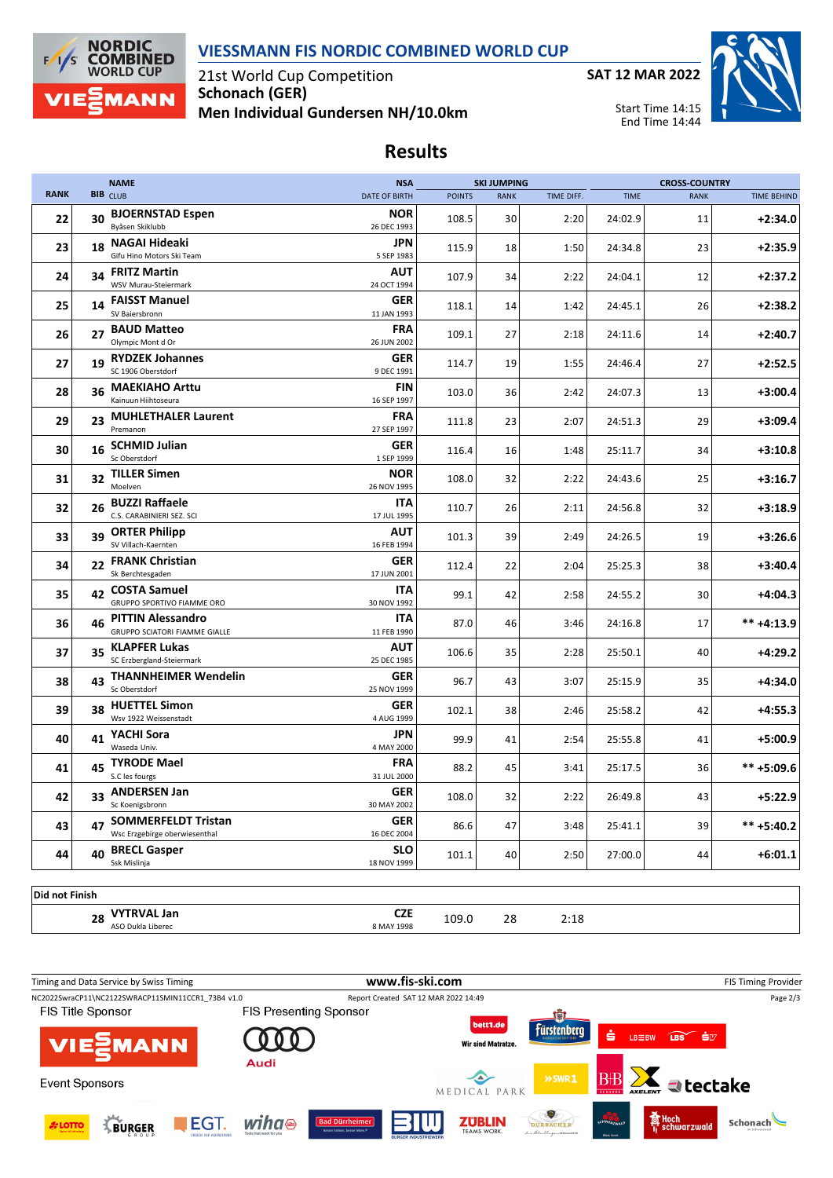

21st World Cup Competition **Schonach (GER) Men Individual Gundersen NH/10.0km**

**NORDIC<br>COMBINED**<br>WORLD CUP

**MANN** 

 $F/1/s$ 

**SAT 12 MAR 2022**



Start Time 14:15 End Time 14:44

## **Results**

|             |                 | <b>NAME</b>                                                      | <b>NSA</b>                |               | <b>SKI JUMPING</b> |            |             | <b>CROSS-COUNTRY</b> |                    |
|-------------|-----------------|------------------------------------------------------------------|---------------------------|---------------|--------------------|------------|-------------|----------------------|--------------------|
| <b>RANK</b> | <b>BIB</b> CLUB |                                                                  | <b>DATE OF BIRTH</b>      | <b>POINTS</b> | <b>RANK</b>        | TIME DIFF. | <b>TIME</b> | <b>RANK</b>          | <b>TIME BEHIND</b> |
| 22          | 30              | <b>BJOERNSTAD Espen</b><br>Byåsen Skiklubb                       | <b>NOR</b><br>26 DEC 1993 | 108.5         | 30                 | 2:20       | 24:02.9     | 11                   | $+2:34.0$          |
| 23          | 18              | NAGAI Hideaki<br>Gifu Hino Motors Ski Team                       | JPN<br>5 SEP 1983         | 115.9         | 18                 | 1:50       | 24:34.8     | 23                   | $+2:35.9$          |
| 24          | 34              | <b>FRITZ Martin</b><br>WSV Murau-Steiermark                      | AUT<br>24 OCT 1994        | 107.9         | 34                 | 2:22       | 24:04.1     | 12                   | $+2:37.2$          |
| 25          |                 | 14 FAISST Manuel<br>SV Baiersbronn                               | GER<br>11 JAN 1993        | 118.1         | 14                 | 1:42       | 24:45.1     | 26                   | $+2:38.2$          |
| 26          | 27              | <b>BAUD Matteo</b><br>Olympic Mont d Or                          | <b>FRA</b><br>26 JUN 2002 | 109.1         | 27                 | 2:18       | 24:11.6     | 14                   | $+2:40.7$          |
| 27          | 19              | <b>RYDZEK Johannes</b><br>SC 1906 Oberstdorf                     | <b>GER</b><br>9 DEC 1991  | 114.7         | 19                 | 1:55       | 24:46.4     | 27                   | $+2:52.5$          |
| 28          | 36              | <b>MAEKIAHO Arttu</b><br>Kainuun Hiihtoseura                     | <b>FIN</b><br>16 SEP 1997 | 103.0         | 36                 | 2:42       | 24:07.3     | 13                   | $+3:00.4$          |
| 29          | 23              | <b>MUHLETHALER Laurent</b><br>Premanon                           | FRA<br>27 SEP 1997        | 111.8         | 23                 | 2:07       | 24:51.3     | 29                   | $+3:09.4$          |
| 30          | 16              | <b>SCHMID Julian</b><br>Sc Oberstdorf                            | <b>GER</b><br>1 SEP 1999  | 116.4         | 16                 | 1:48       | 25:11.7     | 34                   | $+3:10.8$          |
| 31          | 32              | <b>TILLER Simen</b><br>Moelven                                   | <b>NOR</b><br>26 NOV 1995 | 108.0         | 32                 | 2:22       | 24:43.6     | 25                   | $+3:16.7$          |
| 32          | 26              | <b>BUZZI Raffaele</b><br>C.S. CARABINIERI SEZ. SCI               | <b>ITA</b><br>17 JUL 1995 | 110.7         | 26                 | 2:11       | 24:56.8     | 32                   | $+3:18.9$          |
| 33          | 39              | <b>ORTER Philipp</b><br>SV Villach-Kaernten                      | <b>AUT</b><br>16 FEB 1994 | 101.3         | 39                 | 2:49       | 24:26.5     | 19                   | $+3:26.6$          |
| 34          | 22              | <b>FRANK Christian</b><br>Sk Berchtesgaden                       | <b>GER</b><br>17 JUN 2001 | 112.4         | 22                 | 2:04       | 25:25.3     | 38                   | $+3:40.4$          |
| 35          |                 | 42 COSTA Samuel<br><b>GRUPPO SPORTIVO FIAMME ORO</b>             | <b>ITA</b><br>30 NOV 1992 | 99.1          | 42                 | 2:58       | 24:55.2     | 30                   | $+4:04.3$          |
| 36          | 46              | <b>PITTIN Alessandro</b><br><b>GRUPPO SCIATORI FIAMME GIALLE</b> | <b>ITA</b><br>11 FEB 1990 | 87.0          | 46                 | 3:46       | 24:16.8     | 17                   | $*** +4:13.9$      |
| 37          | 35              | <b>KLAPFER Lukas</b><br>SC Erzbergland-Steiermark                | <b>AUT</b><br>25 DEC 1985 | 106.6         | 35                 | 2:28       | 25:50.1     | 40                   | $+4:29.2$          |
| 38          | 43              | <b>THANNHEIMER Wendelin</b><br>Sc Oberstdorf                     | <b>GER</b><br>25 NOV 1999 | 96.7          | 43                 | 3:07       | 25:15.9     | 35                   | $+4:34.0$          |
| 39          | 38              | <b>HUETTEL Simon</b><br>Wsv 1922 Weissenstadt                    | <b>GER</b><br>4 AUG 1999  | 102.1         | 38                 | 2:46       | 25:58.2     | 42                   | $+4:55.3$          |
| 40          |                 | 41 YACHI Sora<br>Waseda Univ.                                    | <b>JPN</b><br>4 MAY 2000  | 99.9          | 41                 | 2:54       | 25:55.8     | 41                   | $+5:00.9$          |
| 41          | 45              | <b>TYRODE Mael</b><br>S.C les fourgs                             | <b>FRA</b><br>31 JUL 2000 | 88.2          | 45                 | 3:41       | 25:17.5     | 36                   | ** +5:09.6         |
| 42          | 33              | <b>ANDERSEN Jan</b><br>Sc Koenigsbronn                           | <b>GER</b><br>30 MAY 2002 | 108.0         | 32                 | 2:22       | 26:49.8     | 43                   | $+5:22.9$          |
| 43          | 47              | <b>SOMMERFELDT Tristan</b><br>Wsc Erzgebirge oberwiesenthal      | <b>GER</b><br>16 DEC 2004 | 86.6          | 47                 | 3:48       | 25:41.1     | 39                   | $*** + 5:40.2$     |
| 44          | 40              | <b>BRECL Gasper</b><br>Ssk Mislinja                              | <b>SLO</b><br>18 NOV 1999 | 101.1         | 40                 | 2:50       | 27:00.0     | 44                   | $+6:01.1$          |

**Did not Finish**

**28 VYTRVAL Jan CZE 109.0** 28 2:18<br>ASO Dukla Liberec **8 MAY 1998** 8 MAY 1998